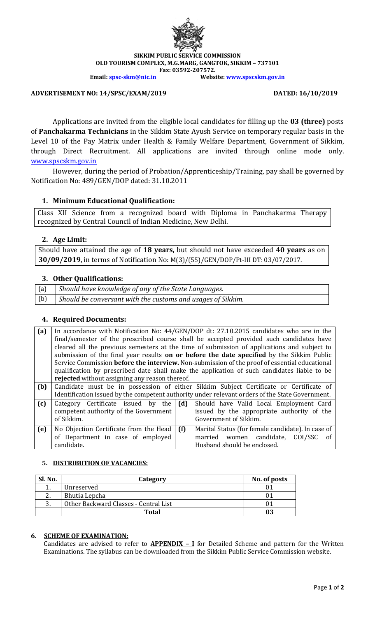

**SIKKIM PUBLIC SERVICE COMMISSION OLD TOURISM COMPLEX, M.G.MARG, GANGTOK, SIKKIM – 737101 Fax: 03592-207572.**

**Email: [spsc-skm@nic.in](mailto:spsc-skm@nic.in) Website[: www.spscskm.gov.in](http://www.spscskm.gov.in/)**

**ADVERTISEMENT NO: 14/SPSC/EXAM/2019 DATED: 16/10/2019**

Applications are invited from the eligible local candidates for filling up the **03 (three)** posts of **Panchakarma Technicians** in the Sikkim State Ayush Service on temporary regular basis in the Level 10 of the Pay Matrix under Health & Family Welfare Department, Government of Sikkim, through Direct Recruitment. All applications are invited through online mode only. [www.spscskm.gov.in](http://www.spscskm.gov.in/)

However, during the period of Probation/Apprenticeship/Training, pay shall be governed by Notification No: 489/GEN/DOP dated: 31.10.2011

## **1. Minimum Educational Qualification:**

Class XII Science from a recognized board with Diploma in Panchakarma Therapy recognized by Central Council of Indian Medicine, New Delhi.

# **2. Age Limit:**

Should have attained the age of **18 years,** but should not have exceeded **40 years** as on **30/09/2019**, in terms of Notification No: M(3)/(55)/GEN/DOP/Pt-III DT: 03/07/2017.

# **3. Other Qualifications:**

(a) *Should have knowledge of any of the State Languages.* (b) *Should be conversant with the customs and usages of Sikkim.*

# **4. Required Documents:**

| (a) |                                                                                               |     | In accordance with Notification No: 44/GEN/DOP dt: 27.10.2015 candidates who are in the         |  |  |
|-----|-----------------------------------------------------------------------------------------------|-----|-------------------------------------------------------------------------------------------------|--|--|
|     | final/semester of the prescribed course shall be accepted provided such candidates have       |     |                                                                                                 |  |  |
|     | cleared all the previous semesters at the time of submission of applications and subject to   |     |                                                                                                 |  |  |
|     | submission of the final year results on or before the date specified by the Sikkim Public     |     |                                                                                                 |  |  |
|     | Service Commission before the interview. Non-submission of the proof of essential educational |     |                                                                                                 |  |  |
|     | qualification by prescribed date shall make the application of such candidates liable to be   |     |                                                                                                 |  |  |
|     | rejected without assigning any reason thereof.                                                |     |                                                                                                 |  |  |
| (b) |                                                                                               |     | Candidate must be in possession of either Sikkim Subject Certificate or Certificate of          |  |  |
|     |                                                                                               |     | Identification issued by the competent authority under relevant orders of the State Government. |  |  |
| (c) | Category Certificate issued by the                                                            | (d) | Should have Valid Local Employment Card                                                         |  |  |
|     | competent authority of the Government                                                         |     | issued by the appropriate authority of the                                                      |  |  |
|     | of Sikkim.                                                                                    |     | Government of Sikkim.                                                                           |  |  |
| (e) | No Objection Certificate from the Head                                                        | (f) | Marital Status (for female candidate). In case of                                               |  |  |
|     |                                                                                               |     |                                                                                                 |  |  |
|     | of Department in case of employed                                                             |     | married women candidate,<br>COI/SSC<br>of                                                       |  |  |
|     | candidate.                                                                                    |     | Husband should be enclosed.                                                                     |  |  |

## **5. DISTRIBUTION OF VACANCIES:**

| Sl. No.  | Category                              | No. of posts |
|----------|---------------------------------------|--------------|
|          | Unreserved                            |              |
| <u>.</u> | Bhutia Lepcha                         |              |
|          | Other Backward Classes - Central List |              |
|          | <b>Total</b>                          |              |

#### **6. SCHEME OF EXAMINATION:**

Candidates are advised to refer to **APPENDIX – I** for Detailed Scheme and pattern for the Written Examinations. The syllabus can be downloaded from the Sikkim Public Service Commission website.